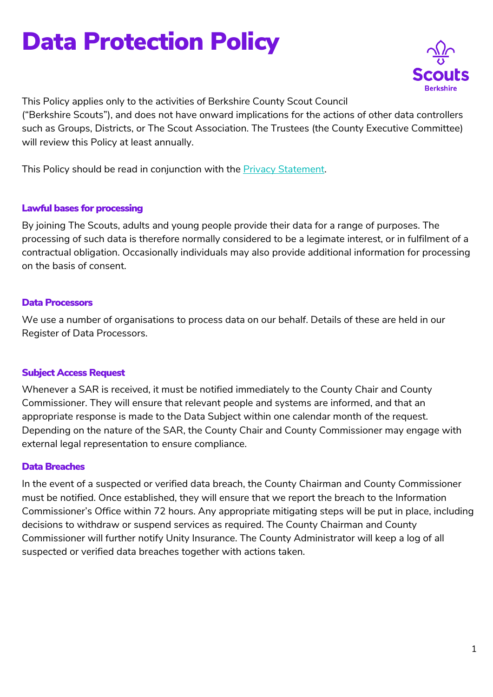# Data Protection Policy



This Policy applies only to the activities of Berkshire County Scout Council ("Berkshire Scouts"), and does not have onward implications for the actions of other data controllers such as Groups, Districts, or The Scout Association. The Trustees (the County Executive Committee) will review this Policy at least annually.

This Policy should be read in conjunction with the Privacy Statement.

### Lawful bases for processing

By joining The Scouts, adults and young people provide their data for a range of purposes. The processing of such data is therefore normally considered to be a legimate interest, or in fulfilment of a contractual obligation. Occasionally individuals may also provide additional information for processing on the basis of consent.

## Data Processors

We use a number of organisations to process data on our behalf. Details of these are held in our Register of Data Processors.

## Subject Access Request

Whenever a SAR is received, it must be notified immediately to the County Chair and County Commissioner. They will ensure that relevant people and systems are informed, and that an appropriate response is made to the Data Subject within one calendar month of the request. Depending on the nature of the SAR, the County Chair and County Commissioner may engage with external legal representation to ensure compliance.

## Data Breaches

In the event of a suspected or verified data breach, the County Chairman and County Commissioner must be notified. Once established, they will ensure that we report the breach to the Information Commissioner's Office within 72 hours. Any appropriate mitigating steps will be put in place, including decisions to withdraw or suspend services as required. The County Chairman and County Commissioner will further notify Unity Insurance. The County Administrator will keep a log of all suspected or verified data breaches together with actions taken.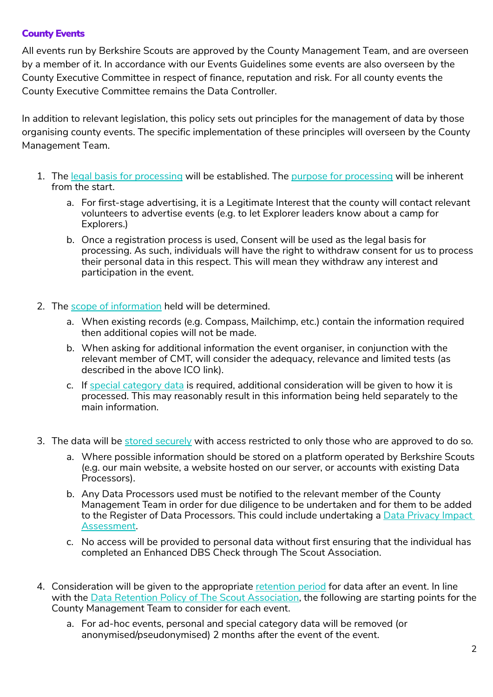### County Events

All events run by Berkshire Scouts are approved by the County Management Team, and are overseen by a member of it. In accordance with our Events Guidelines some events are also overseen by the County Executive Committee in respect of finance, reputation and risk. For all county events the County Executive Committee remains the Data Controller.

In addition to relevant legislation, this policy sets out principles for the management of data by those organising county events. The specific implementation of these principles will overseen by the County Management Team.

- 1. The legal basis for processing will be established. The purpose for processing will be inherent from the start.
	- a. For first-stage advertising, it is a Legitimate Interest that the county will contact relevant volunteers to advertise events (e.g. to let Explorer leaders know about a camp for Explorers.)
	- b. Once a registration process is used, Consent will be used as the legal basis for processing. As such, individuals will have the right to withdraw consent for us to process their personal data in this respect. This will mean they withdraw any interest and participation in the event.
- 2. The scope of information held will be determined.
	- a. When existing records (e.g. Compass, Mailchimp, etc.) contain the information required then additional copies will not be made.
	- b. When asking for additional information the event organiser, in conjunction with the relevant member of CMT, will consider the adequacy, relevance and limited tests (as described in the above ICO link).
	- c. If special category data is required, additional consideration will be given to how it is processed. This may reasonably result in this information being held separately to the main information.
- 3. The data will be stored securely with access restricted to only those who are approved to do so.
	- a. Where possible information should be stored on a platform operated by Berkshire Scouts (e.g. our main website, a website hosted on our server, or accounts with existing Data Processors).
	- b. Any Data Processors used must be notified to the relevant member of the County Management Team in order for due diligence to be undertaken and for them to be added to the Register of Data Processors. This could include undertaking a Data Privacy Impact Assessment.
	- c. No access will be provided to personal data without first ensuring that the individual has completed an Enhanced DBS Check through The Scout Association.
- 4. Consideration will be given to the appropriate retention period for data after an event. In line with the Data Retention Policy of The Scout Association, the following are starting points for the County Management Team to consider for each event.
	- a. For ad-hoc events, personal and special category data will be removed (or anonymised/pseudonymised) 2 months after the event of the event.